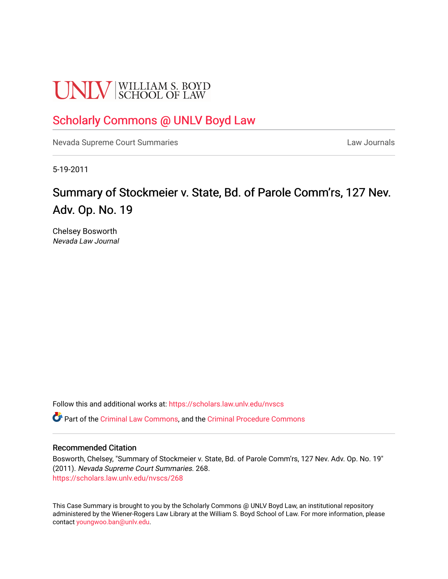# **UNLV** SCHOOL OF LAW

## [Scholarly Commons @ UNLV Boyd Law](https://scholars.law.unlv.edu/)

[Nevada Supreme Court Summaries](https://scholars.law.unlv.edu/nvscs) **Law Journals** Law Journals

5-19-2011

# Summary of Stockmeier v. State, Bd. of Parole Comm'rs, 127 Nev. Adv. Op. No. 19

Chelsey Bosworth Nevada Law Journal

Follow this and additional works at: [https://scholars.law.unlv.edu/nvscs](https://scholars.law.unlv.edu/nvscs?utm_source=scholars.law.unlv.edu%2Fnvscs%2F268&utm_medium=PDF&utm_campaign=PDFCoverPages)

Part of the [Criminal Law Commons,](http://network.bepress.com/hgg/discipline/912?utm_source=scholars.law.unlv.edu%2Fnvscs%2F268&utm_medium=PDF&utm_campaign=PDFCoverPages) and the [Criminal Procedure Commons](http://network.bepress.com/hgg/discipline/1073?utm_source=scholars.law.unlv.edu%2Fnvscs%2F268&utm_medium=PDF&utm_campaign=PDFCoverPages)

#### Recommended Citation

Bosworth, Chelsey, "Summary of Stockmeier v. State, Bd. of Parole Comm'rs, 127 Nev. Adv. Op. No. 19" (2011). Nevada Supreme Court Summaries. 268. [https://scholars.law.unlv.edu/nvscs/268](https://scholars.law.unlv.edu/nvscs/268?utm_source=scholars.law.unlv.edu%2Fnvscs%2F268&utm_medium=PDF&utm_campaign=PDFCoverPages)

This Case Summary is brought to you by the Scholarly Commons @ UNLV Boyd Law, an institutional repository administered by the Wiener-Rogers Law Library at the William S. Boyd School of Law. For more information, please contact [youngwoo.ban@unlv.edu](mailto:youngwoo.ban@unlv.edu).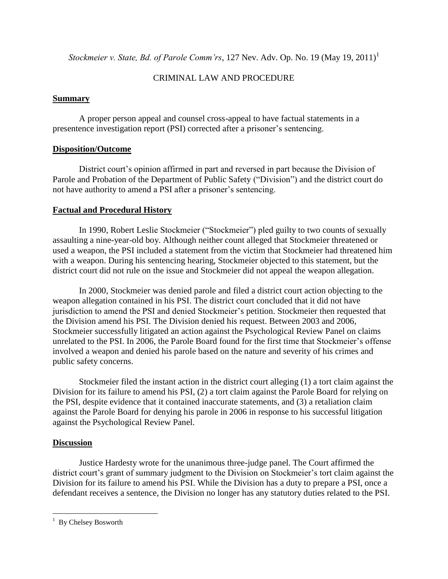*Stockmeier v. State, Bd. of Parole Comm'rs, 127 Nev. Adv. Op. No. 19 (May 19, 2011)*<sup>1</sup>

### CRIMINAL LAW AND PROCEDURE

#### **Summary**

A proper person appeal and counsel cross-appeal to have factual statements in a presentence investigation report (PSI) corrected after a prisoner's sentencing.

### **Disposition/Outcome**

District court's opinion affirmed in part and reversed in part because the Division of Parole and Probation of the Department of Public Safety ("Division") and the district court do not have authority to amend a PSI after a prisoner's sentencing.

## **Factual and Procedural History**

In 1990, Robert Leslie Stockmeier ("Stockmeier") pled guilty to two counts of sexually assaulting a nine-year-old boy. Although neither count alleged that Stockmeier threatened or used a weapon, the PSI included a statement from the victim that Stockmeier had threatened him with a weapon. During his sentencing hearing, Stockmeier objected to this statement, but the district court did not rule on the issue and Stockmeier did not appeal the weapon allegation.

In 2000, Stockmeier was denied parole and filed a district court action objecting to the weapon allegation contained in his PSI. The district court concluded that it did not have jurisdiction to amend the PSI and denied Stockmeier's petition. Stockmeier then requested that the Division amend his PSI. The Division denied his request. Between 2003 and 2006, Stockmeier successfully litigated an action against the Psychological Review Panel on claims unrelated to the PSI. In 2006, the Parole Board found for the first time that Stockmeier's offense involved a weapon and denied his parole based on the nature and severity of his crimes and public safety concerns.

Stockmeier filed the instant action in the district court alleging (1) a tort claim against the Division for its failure to amend his PSI, (2) a tort claim against the Parole Board for relying on the PSI, despite evidence that it contained inaccurate statements, and (3) a retaliation claim against the Parole Board for denying his parole in 2006 in response to his successful litigation against the Psychological Review Panel.

#### **Discussion**

 $\overline{a}$ 

Justice Hardesty wrote for the unanimous three-judge panel. The Court affirmed the district court's grant of summary judgment to the Division on Stockmeier's tort claim against the Division for its failure to amend his PSI. While the Division has a duty to prepare a PSI, once a defendant receives a sentence, the Division no longer has any statutory duties related to the PSI.

 $1$  By Chelsey Bosworth